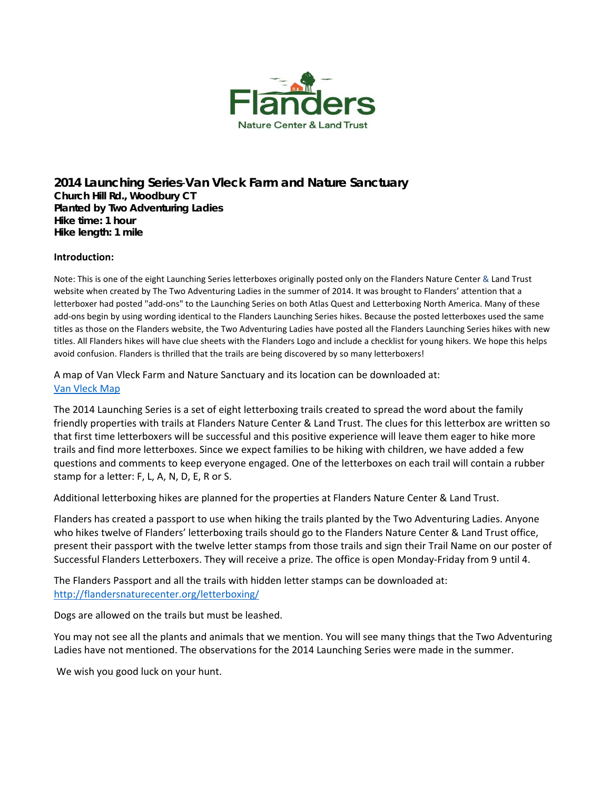

**2014 Launching Series**-**Van Vleck Farm and Nature Sanctuary Church Hill Rd., Woodbury CT Planted by Two Adventuring Ladies Hike time: 1 hour Hike length: 1 mile** 

## **Introduction:**

Note: This is one of the eight Launching Series letterboxes originally posted only on the Flanders Nature Center & Land Trust website when created by The Two Adventuring Ladies in the summer of 2014. It was brought to Flanders' attention that a letterboxer had posted "add‐ons" to the Launching Series on both Atlas Quest and Letterboxing North America. Many of these add‐ons begin by using wording identical to the Flanders Launching Series hikes. Because the posted letterboxes used the same titles as those on the Flanders website, the Two Adventuring Ladies have posted all the Flanders Launching Series hikes with new titles. All Flanders hikes will have clue sheets with the Flanders Logo and include a checklist for young hikers. We hope this helps avoid confusion. Flanders is thrilled that the trails are being discovered by so many letterboxers!

A map of Van Vleck Farm and Nature Sanctuary and its location can be downloaded at: Van [Vleck](http://flandersnaturecenter.org/wp-content/uploads/2017/07/Van-Vleck-Map-w-marker-numbers-2017.pdf) Map

The 2014 Launching Series is a set of eight letterboxing trails created to spread the word about the family friendly properties with trails at Flanders Nature Center & Land Trust. The clues for this letterbox are written so that first time letterboxers will be successful and this positive experience will leave them eager to hike more trails and find more letterboxes. Since we expect families to be hiking with children, we have added a few questions and comments to keep everyone engaged. One of the letterboxes on each trail will contain a rubber stamp for a letter: F, L, A, N, D, E, R or S.

Additional letterboxing hikes are planned for the properties at Flanders Nature Center & Land Trust.

Flanders has created a passport to use when hiking the trails planted by the Two Adventuring Ladies. Anyone who hikes twelve of Flanders' letterboxing trails should go to the Flanders Nature Center & Land Trust office, present their passport with the twelve letter stamps from those trails and sign their Trail Name on our poster of Successful Flanders Letterboxers. They will receive a prize. The office is open Monday‐Friday from 9 until 4.

The Flanders Passport and all the trails with hidden letter stamps can be downloaded at: <http://flandersnaturecenter.org/letterboxing/>

Dogs are allowed on the trails but must be leashed.

You may not see all the plants and animals that we mention. You will see many things that the Two Adventuring Ladies have not mentioned. The observations for the 2014 Launching Series were made in the summer.

We wish you good luck on your hunt.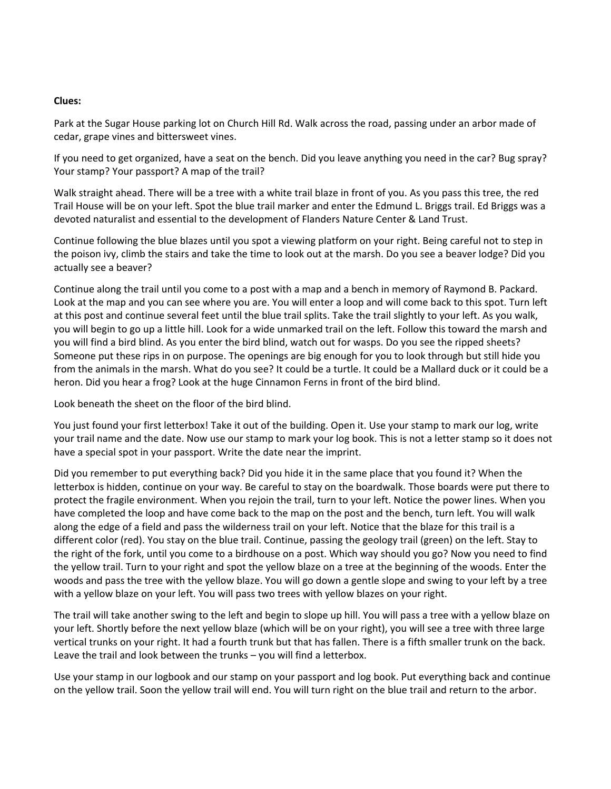## **Clues:**

Park at the Sugar House parking lot on Church Hill Rd. Walk across the road, passing under an arbor made of cedar, grape vines and bittersweet vines.

If you need to get organized, have a seat on the bench. Did you leave anything you need in the car? Bug spray? Your stamp? Your passport? A map of the trail?

Walk straight ahead. There will be a tree with a white trail blaze in front of you. As you pass this tree, the red Trail House will be on your left. Spot the blue trail marker and enter the Edmund L. Briggs trail. Ed Briggs was a devoted naturalist and essential to the development of Flanders Nature Center & Land Trust.

Continue following the blue blazes until you spot a viewing platform on your right. Being careful not to step in the poison ivy, climb the stairs and take the time to look out at the marsh. Do you see a beaver lodge? Did you actually see a beaver?

Continue along the trail until you come to a post with a map and a bench in memory of Raymond B. Packard. Look at the map and you can see where you are. You will enter a loop and will come back to this spot. Turn left at this post and continue several feet until the blue trail splits. Take the trail slightly to your left. As you walk, you will begin to go up a little hill. Look for a wide unmarked trail on the left. Follow this toward the marsh and you will find a bird blind. As you enter the bird blind, watch out for wasps. Do you see the ripped sheets? Someone put these rips in on purpose. The openings are big enough for you to look through but still hide you from the animals in the marsh. What do you see? It could be a turtle. It could be a Mallard duck or it could be a heron. Did you hear a frog? Look at the huge Cinnamon Ferns in front of the bird blind.

Look beneath the sheet on the floor of the bird blind.

You just found your first letterbox! Take it out of the building. Open it. Use your stamp to mark our log, write your trail name and the date. Now use our stamp to mark your log book. This is not a letter stamp so it does not have a special spot in your passport. Write the date near the imprint.

Did you remember to put everything back? Did you hide it in the same place that you found it? When the letterbox is hidden, continue on your way. Be careful to stay on the boardwalk. Those boards were put there to protect the fragile environment. When you rejoin the trail, turn to your left. Notice the power lines. When you have completed the loop and have come back to the map on the post and the bench, turn left. You will walk along the edge of a field and pass the wilderness trail on your left. Notice that the blaze for this trail is a different color (red). You stay on the blue trail. Continue, passing the geology trail (green) on the left. Stay to the right of the fork, until you come to a birdhouse on a post. Which way should you go? Now you need to find the yellow trail. Turn to your right and spot the yellow blaze on a tree at the beginning of the woods. Enter the woods and pass the tree with the yellow blaze. You will go down a gentle slope and swing to your left by a tree with a yellow blaze on your left. You will pass two trees with yellow blazes on your right.

The trail will take another swing to the left and begin to slope up hill. You will pass a tree with a yellow blaze on your left. Shortly before the next yellow blaze (which will be on your right), you will see a tree with three large vertical trunks on your right. It had a fourth trunk but that has fallen. There is a fifth smaller trunk on the back. Leave the trail and look between the trunks – you will find a letterbox.

Use your stamp in our logbook and our stamp on your passport and log book. Put everything back and continue on the yellow trail. Soon the yellow trail will end. You will turn right on the blue trail and return to the arbor.